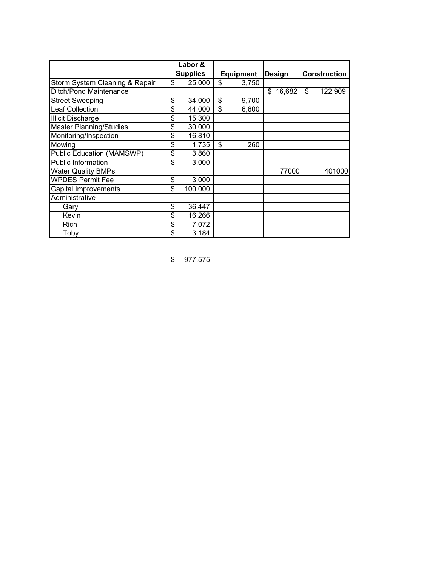|                                | Labor &<br><b>Supplies</b> |         |                  |       |               |        |                     |         |
|--------------------------------|----------------------------|---------|------------------|-------|---------------|--------|---------------------|---------|
|                                |                            |         | <b>Equipment</b> |       | <b>Design</b> |        | <b>Construction</b> |         |
| Storm System Cleaning & Repair | \$                         | 25,000  | \$               | 3,750 |               |        |                     |         |
| <b>Ditch/Pond Maintenance</b>  |                            |         |                  |       | \$            | 16,682 | \$                  | 122,909 |
| <b>Street Sweeping</b>         | \$                         | 34,000  | \$               | 9,700 |               |        |                     |         |
| <b>Leaf Collection</b>         | \$                         | 44,000  | \$               | 6,600 |               |        |                     |         |
| <b>Illicit Discharge</b>       | \$                         | 15,300  |                  |       |               |        |                     |         |
| <b>Master Planning/Studies</b> | \$                         | 30,000  |                  |       |               |        |                     |         |
| Monitoring/Inspection          | \$                         | 16,810  |                  |       |               |        |                     |         |
| Mowing                         | \$                         | 1,735   | \$               | 260   |               |        |                     |         |
| Public Education (MAMSWP)      | \$                         | 3,860   |                  |       |               |        |                     |         |
| Public Information             | \$                         | 3,000   |                  |       |               |        |                     |         |
| <b>Water Quality BMPs</b>      |                            |         |                  |       |               | 77000  |                     | 401000  |
| <b>WPDES Permit Fee</b>        | \$                         | 3,000   |                  |       |               |        |                     |         |
| Capital Improvements           | \$                         | 100,000 |                  |       |               |        |                     |         |
| Administrative                 |                            |         |                  |       |               |        |                     |         |
| Garv                           | \$                         | 36,447  |                  |       |               |        |                     |         |
| Kevin                          | \$                         | 16,266  |                  |       |               |        |                     |         |
| Rich                           | \$                         | 7,072   |                  |       |               |        |                     |         |
| Toby                           | \$                         | 3,184   |                  |       |               |        |                     |         |

\$ 977,575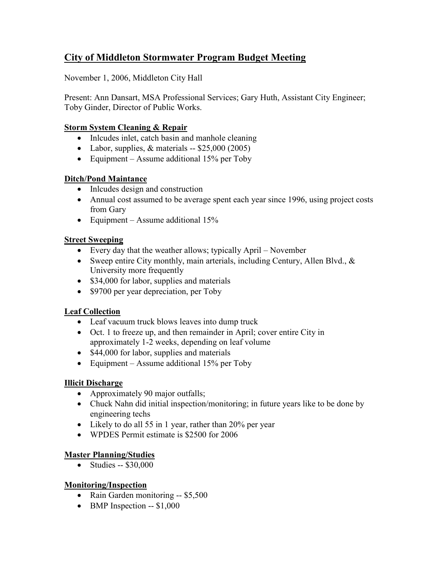# City of Middleton Stormwater Program Budget Meeting

# November 1, 2006, Middleton City Hall

Present: Ann Dansart, MSA Professional Services; Gary Huth, Assistant City Engineer; Toby Ginder, Director of Public Works.

## Storm System Cleaning & Repair

- Inlcudes inlet, catch basin and manhole cleaning
- Labor, supplies,  $&$  materials -- \$25,000 (2005)
- Equipment Assume additional 15% per Toby

### Ditch/Pond Maintance

- Inlcudes design and construction
- Annual cost assumed to be average spent each year since 1996, using project costs from Gary
- Equipment Assume additional 15%

### Street Sweeping

- Every day that the weather allows; typically April November
- Sweep entire City monthly, main arterials, including Century, Allen Blvd., & University more frequently
- \$34,000 for labor, supplies and materials
- \$9700 per year depreciation, per Toby

# Leaf Collection

- Leaf vacuum truck blows leaves into dump truck
- Oct. 1 to freeze up, and then remainder in April; cover entire City in approximately 1-2 weeks, depending on leaf volume
- \$44,000 for labor, supplies and materials
- Equipment Assume additional 15% per Toby

### Illicit Discharge

- Approximately 90 major outfalls;
- Chuck Nahn did initial inspection/monitoring; in future years like to be done by engineering techs
- Likely to do all 55 in 1 year, rather than 20% per year
- WPDES Permit estimate is \$2500 for 2006

# Master Planning/Studies

• Studies -- \$30,000

### Monitoring/Inspection

- Rain Garden monitoring -- \$5,500
- BMP Inspection -- \$1,000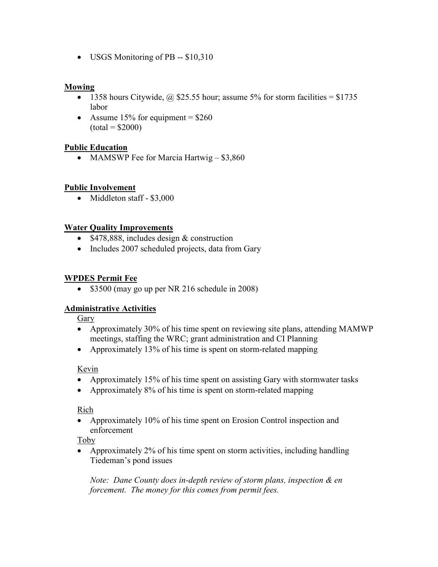• USGS Monitoring of PB -- \$10,310

#### Mowing

- 1358 hours Citywide,  $\omega$  \$25.55 hour; assume 5% for storm facilities = \$1735 labor
- Assume 15% for equipment  $= $260$  $(total = $2000)$

#### **Public Education**

• MAMSWP Fee for Marcia Hartwig – \$3,860

#### Public Involvement

• Middleton staff - \$3,000

#### Water Quality Improvements

- \$478,888, includes design & construction
- Includes 2007 scheduled projects, data from Gary

#### WPDES Permit Fee

• \$3500 (may go up per NR 216 schedule in 2008)

### Administrative Activities

Gary

- Approximately 30% of his time spent on reviewing site plans, attending MAMWP meetings, staffing the WRC; grant administration and CI Planning
- Approximately 13% of his time is spent on storm-related mapping

#### Kevin

- Approximately 15% of his time spent on assisting Gary with stormwater tasks
- Approximately 8% of his time is spent on storm-related mapping

Rich

• Approximately 10% of his time spent on Erosion Control inspection and enforcement

Toby

• Approximately 2% of his time spent on storm activities, including handling Tiedeman's pond issues

Note: Dane County does in-depth review of storm plans, inspection & en forcement. The money for this comes from permit fees.